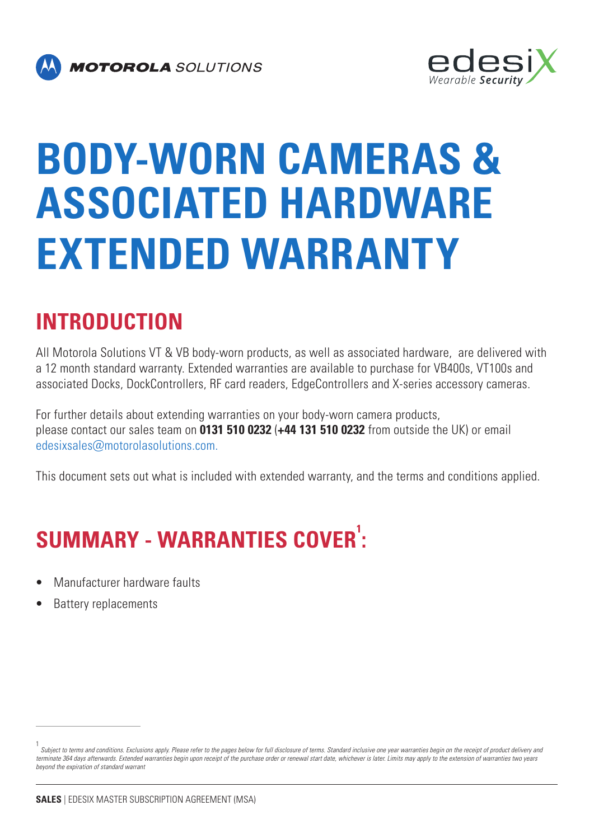



# **BODY-WORN CAMERAS & ASSOCIATED HARDWARE EXTENDED WARRANTY**

## **INTRODUCTION**

All Motorola Solutions VT & VB body-worn products, as well as associated hardware, are delivered with a 12 month standard warranty. Extended warranties are available to purchase for VB400s, VT100s and associated Docks, DockControllers, RF card readers, EdgeControllers and X-series accessory cameras.

For further details about extending warranties on your body-worn camera products, please contact our sales team on **0131 510 0232** (**+44 131 510 0232** from outside the UK) or email [edesixsales@motorolasolutions.com.](mailto:edesixsales%40motorolasolutions.com.?subject=)

This document sets out what is included with extended warranty, and the terms and conditions applied.

## **SUMMARY - WARRANTIES COVER<sup>1</sup> :**

- Manufacturer hardware faults
- Battery replacements

<sup>1</sup> Subject to terms and conditions. Exclusions apply. Please refer to the pages below for full disclosure of terms. Standard inclusive one year warranties begin on the receipt of product delivery and terminate 364 days afterwards. Extended warranties begin upon receipt of the purchase order or renewal start date, whichever is later. Limits may apply to the extension of warranties two years beyond the expiration of standard warrant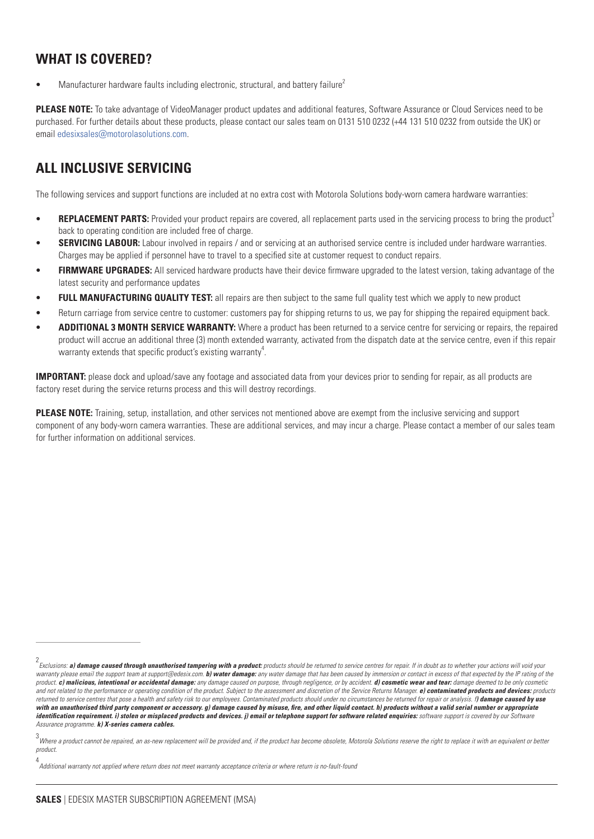#### **WHAT IS COVERED?**

Manufacturer hardware faults including electronic, structural, and battery failure<sup>2</sup>

**PLEASE NOTE:** To take advantage of VideoManager product updates and additional features, Software Assurance or Cloud Services need to be purchased. For further details about these products, please contact our sales team on 0131 510 0232 (+44 131 510 0232 from outside the UK) or email [edesixsales@motorolasolutions.com](mailto:edesixsales%40motorolasolutions.com?subject=).

#### **ALL INCLUSIVE SERVICING**

The following services and support functions are included at no extra cost with Motorola Solutions body-worn camera hardware warranties:

- **REPLACEMENT PARTS:** Provided your product repairs are covered, all replacement parts used in the servicing process to bring the product<sup>3</sup> back to operating condition are included free of charge.
- **SERVICING LABOUR:** Labour involved in repairs / and or servicing at an authorised service centre is included under hardware warranties. Charges may be applied if personnel have to travel to a specified site at customer request to conduct repairs.
- **FIRMWARE UPGRADES:** All serviced hardware products have their device firmware upgraded to the latest version, taking advantage of the latest security and performance updates
- **FULL MANUFACTURING QUALITY TEST:** all repairs are then subject to the same full quality test which we apply to new product
- Return carriage from service centre to customer: customers pay for shipping returns to us, we pay for shipping the repaired equipment back.
- ADDITIONAL 3 MONTH SERVICE WARRANTY: Where a product has been returned to a service centre for servicing or repairs, the repaired product will accrue an additional three (3) month extended warranty, activated from the dispatch date at the service centre, even if this repair warranty extends that specific product's existing warranty $^4$ .

**IMPORTANT:** please dock and upload/save any footage and associated data from your devices prior to sending for repair, as all products are factory reset during the service returns process and this will destroy recordings.

**PLEASE NOTE:** Training, setup, installation, and other services not mentioned above are exempt from the inclusive servicing and support component of any body-worn camera warranties. These are additional services, and may incur a charge. Please contact a member of our sales team for further information on additional services.

<sup>2</sup> Exclusions: **a) damage caused through unauthorised tampering with a product:** products should be returned to service centres for repair. If in doubt as to whether your actions will void your warranty please email the support team at support@edesix.com. b) water damage: any water damage that has been caused by immersion or contact in excess of that expected by the IP rating of the product. **c) malicious, intentional or accidental damage:** any damage caused on purpose, through negligence, or by accident. **d) cosmetic wear and tear:** damage deemed to be only cosmetic and not related to the performance or operating condition of the product. Subject to the assessment and discretion of the Service Returns Manager. **e) contaminated products and devices:** products returned to service centres that pose a health and safety risk to our employees. Contaminated products should under no circumstances be returned for repair or analysis. f**) damage caused by use with an unauthorised third party component or accessory. g) damage caused by misuse, fire, and other liquid contact. h) products without a valid serial number or appropriate identification requirement. i) stolen or misplaced products and devices. j) email or telephone support for software related enquiries:** software support is covered by our Software Assurance programme. **k) X-series camera cables.**

<sup>3&</sup>lt;br>Where a product cannot be repaired, an as-new replacement will be provided and, if the product has become obsolete, Motorola Solutions reserve the right to replace it with an equivalent or better product.

<sup>4</sup> Additional warranty not applied where return does not meet warranty acceptance criteria or where return is no-fault-found